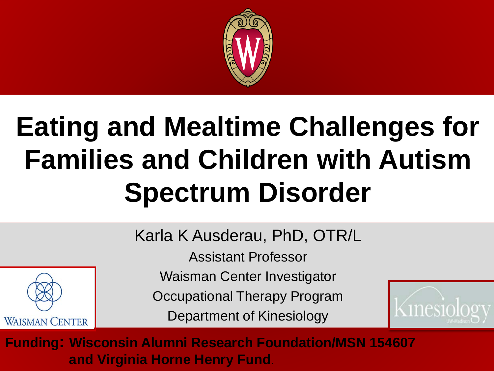

#### **Eating and Mealtime Challenges for Families and Children with Autism Spectrum Disorder**

Karla K Ausderau, PhD, OTR/L

Assistant Professor

Waisman Center Investigator

Occupational Therapy Program

Department of Kinesiology



**Funding: Wisconsin Alumni Research Foundation/MSN 154607 and Virginia Horne Henry Fund**.

**WAISMAN CENTER**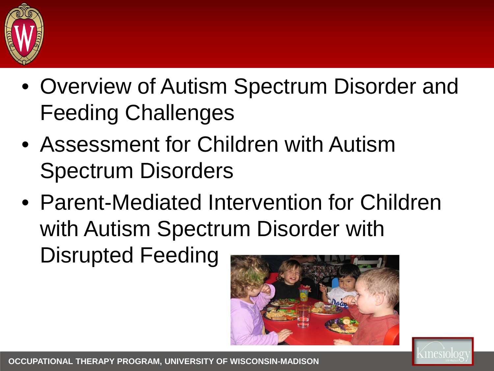

- Overview of Autism Spectrum Disorder and Feeding Challenges
- Assessment for Children with Autism Spectrum Disorders
- Parent-Mediated Intervention for Children with Autism Spectrum Disorder with Disrupted Feeding



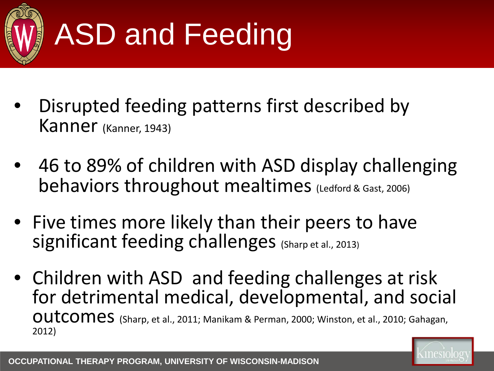

- Disrupted feeding patterns first described by Kanner (Kanner, 1943)
- 46 to 89% of children with ASD display challenging behaviors throughout mealtimes (Ledford & Gast, 2006)
- Five times more likely than their peers to have significant feeding challenges (Sharp et al., 2013)
- Children with ASD and feeding challenges at risk for detrimental medical, developmental, and social OUTCOMES (Sharp, et al., 2011; Manikam & Perman, 2000; Winston, et al., 2010; Gahagan, 2012)

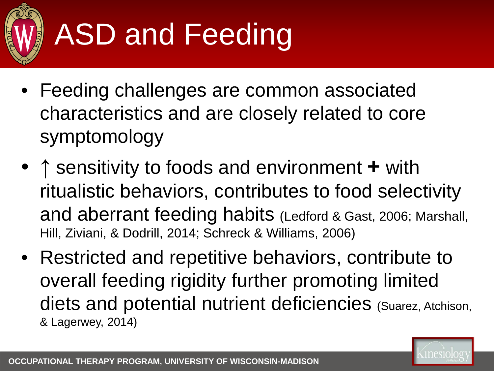

- Feeding challenges are common associated characteristics and are closely related to core symptomology
- **↑** sensitivity to foods and environment **+** with ritualistic behaviors, contributes to food selectivity and aberrant feeding habits (Ledford & Gast, 2006; Marshall, Hill, Ziviani, & Dodrill, 2014; Schreck & Williams, 2006)
- Restricted and repetitive behaviors, contribute to overall feeding rigidity further promoting limited diets and potential nutrient deficiencies (Suarez, Atchison, & Lagerwey, 2014)

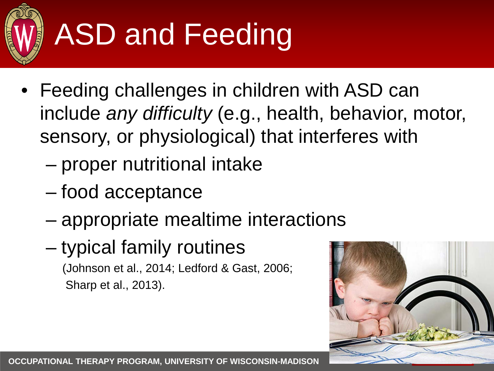

- Feeding challenges in children with ASD can include *any difficulty* (e.g., health, behavior, motor, sensory, or physiological) that interferes with
	- proper nutritional intake
	- food acceptance
	- appropriate mealtime interactions
	- typical family routines

(Johnson et al., 2014; Ledford & Gast, 2006; Sharp et al., 2013).

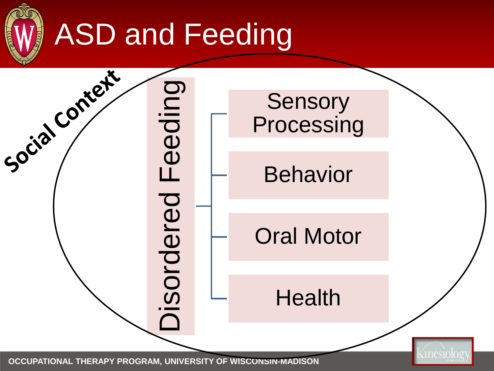



**OCCUPATIONAL THERAPY PROGRAM, UNIVERSITY OF WISCONSIN-MADISON**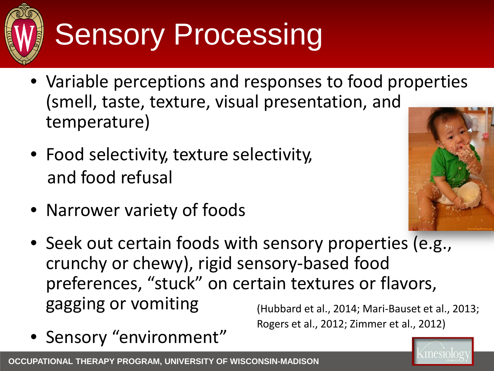

# Sensory Processing

- Variable perceptions and responses to food properties (smell, taste, texture, visual presentation, and temperature)
- Food selectivity, texture selectivity, and food refusal
- Narrower variety of foods



- Seek out certain foods with sensory properties (e.g., crunchy or chewy), rigid sensory-based food preferences, "stuck" on certain textures or flavors, gagging or vomiting
- Sensory "environment"

(Hubbard et al., 2014; Mari-Bauset et al., 2013; Rogers et al., 2012; Zimmer et al., 2012)

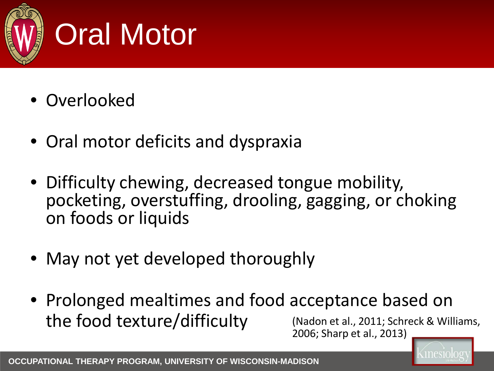

## Oral Motor

- Overlooked
- Oral motor deficits and dyspraxia
- Difficulty chewing, decreased tongue mobility, pocketing, overstuffing, drooling, gagging, or choking on foods or liquids
- May not yet developed thoroughly
- Prolonged mealtimes and food acceptance based on the food texture/difficulty (Nadon et al., 2011; Schreck & Williams, 2006; Sharp et al., 2013)

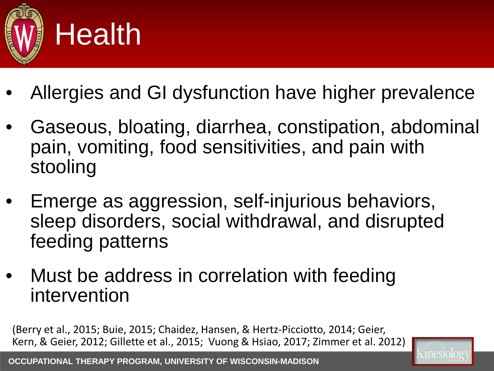

- Allergies and GI dysfunction have higher prevalence
- Gaseous, bloating, diarrhea, constipation, abdominal pain, vomiting, food sensitivities, and pain with stooling
- Emerge as aggression, self-injurious behaviors, sleep disorders, social withdrawal, and disrupted feeding patterns
- Must be address in correlation with feeding intervention

(Berry et al., 2015; Buie, 2015; Chaidez, Hansen, & Hertz-Picciotto, 2014; Geier, Kern, & Geier, 2012; Gillette et al., 2015; Vuong & Hsiao, 2017; Zimmer et al. 2012)

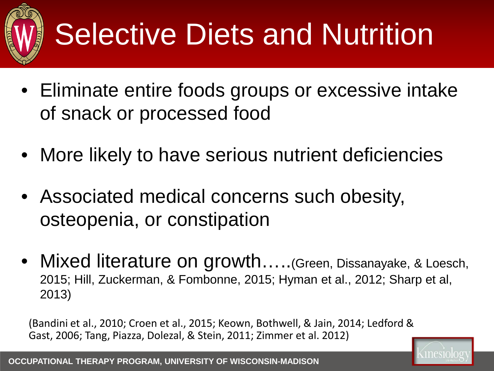

# Selective Diets and Nutrition

- Eliminate entire foods groups or excessive intake of snack or processed food
- More likely to have serious nutrient deficiencies
- Associated medical concerns such obesity, osteopenia, or constipation
- Mixed literature on growth.....(Green, Dissanayake, & Loesch, 2015; Hill, Zuckerman, & Fombonne, 2015; Hyman et al., 2012; Sharp et al, 2013)

(Bandini et al., 2010; Croen et al., 2015; Keown, Bothwell, & Jain, 2014; Ledford & Gast, 2006; Tang, Piazza, Dolezal, & Stein, 2011; Zimmer et al. 2012)

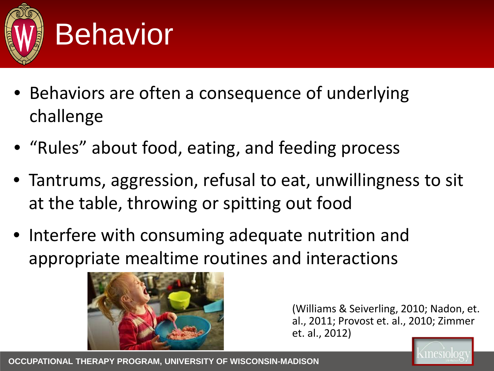

#### **Behavior**

- Behaviors are often a consequence of underlying challenge
- "Rules" about food, eating, and feeding process
- Tantrums, aggression, refusal to eat, unwillingness to sit at the table, throwing or spitting out food
- Interfere with consuming adequate nutrition and appropriate mealtime routines and interactions



(Williams & Seiverling, 2010; Nadon, et. al., 2011; Provost et. al., 2010; Zimmer et. al., 2012)

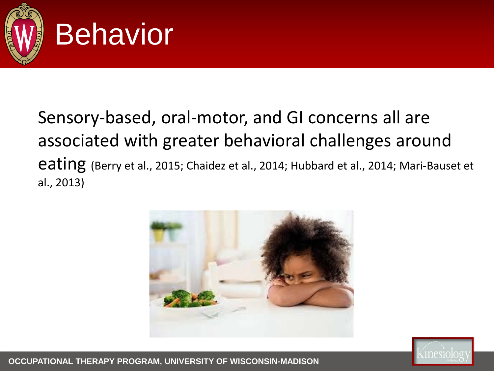

#### **Behavior**

#### Sensory-based, oral-motor, and GI concerns all are associated with greater behavioral challenges around eating (Berry et al., 2015; Chaidez et al., 2014; Hubbard et al., 2014; Mari-Bauset et al., 2013)





**OCCUPATIONAL THERAPY PROGRAM, UNIVERSITY OF WISCONSIN-MADISON**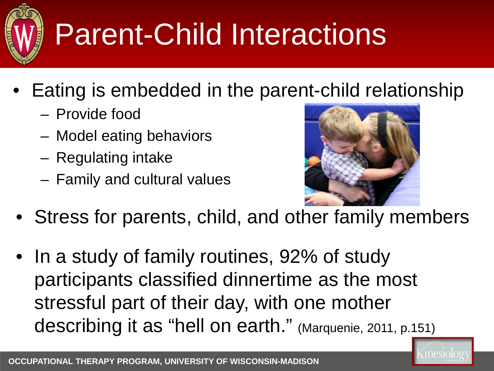

# Parent-Child Interactions

- Eating is embedded in the parent-child relationship
	- Provide food
	- Model eating behaviors
	- Regulating intake
	- Family and cultural values



- Stress for parents, child, and other family members
- In a study of family routines, 92% of study participants classified dinnertime as the most stressful part of their day, with one mother describing it as "hell on earth." (Marquenie, 2011, p.151)

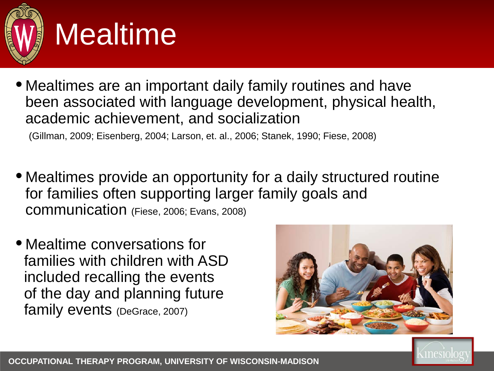

#### Mealtime

• Mealtimes are an important daily family routines and have been associated with language development, physical health, academic achievement, and socialization

(Gillman, 2009; Eisenberg, 2004; Larson, et. al., 2006; Stanek, 1990; Fiese, 2008)

- Mealtimes provide an opportunity for a daily structured routine for families often supporting larger family goals and communication (Fiese, 2006; Evans, 2008)
- Mealtime conversations for families with children with ASD included recalling the events of the day and planning future family events (DeGrace, 2007)



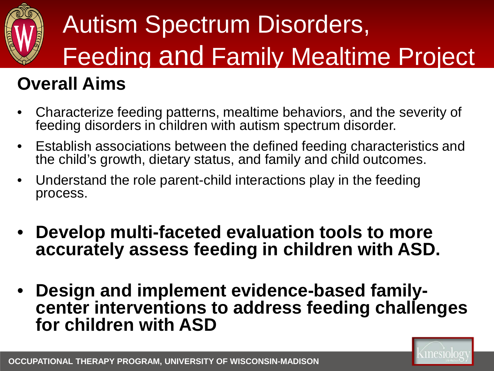

# Autism Spectrum Disorders, Feeding and Family Mealtime Project

#### **Overall Aims**

- Characterize feeding patterns, mealtime behaviors, and the severity of feeding disorders in children with autism spectrum disorder.
- Establish associations between the defined feeding characteristics and the child's growth, dietary status, and family and child outcomes.
- Understand the role parent-child interactions play in the feeding process.
- **Develop multi-faceted evaluation tools to more accurately assess feeding in children with ASD.**
- **Design and implement evidence-based family- center interventions to address feeding challenges for children with ASD**

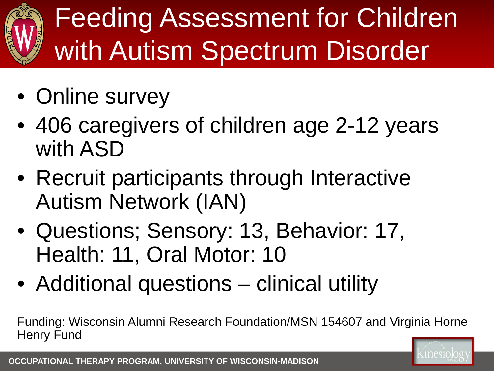## Feeding Assessment for Children with Autism Spectrum Disorder

- Online survey
- 406 caregivers of children age 2-12 years with ASD
- Recruit participants through Interactive Autism Network (IAN)
- Questions; Sensory: 13, Behavior: 17, Health: 11, Oral Motor: 10
- Additional questions clinical utility

Funding: Wisconsin Alumni Research Foundation/MSN 154607 and Virginia Horne Henry Fund

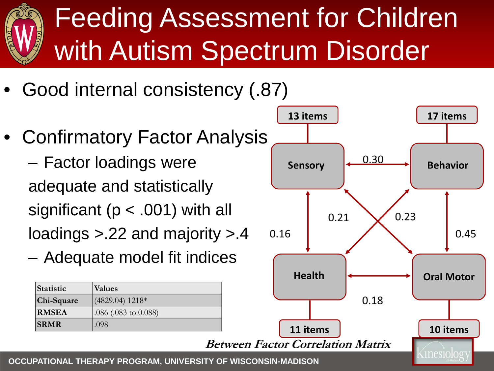## Feeding Assessment for Children with Autism Spectrum Disorder

- Good internal consistency (.87)
- Confirmatory Factor Analysis – Factor loadings were adequate and statistically

significant (p < .001) with all loadings >.22 and majority >.4

– Adequate model fit indices

| Statistic    | Values                 |
|--------------|------------------------|
| Chi-Square   | $(4829.04)$ 1218*      |
| <b>RMSEA</b> | $.086$ (.083 to 0.088) |
| <b>SRMR</b>  | .098                   |

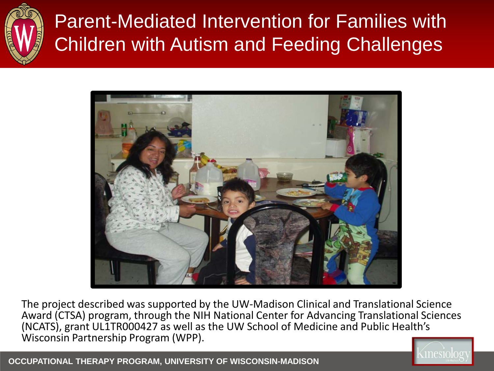

#### Parent-Mediated Intervention for Families with Children with Autism and Feeding Challenges



The project described was supported by the UW-Madison Clinical and Translational Science Award (CTSA) program, through the NIH National Center for Advancing Translational Sciences (NCATS), grant UL1TR000427 as well as the UW School of Medicine and Public Health's Wisconsin Partnership Program (WPP).



**OCCUPATIONAL THERAPY PROGRAM, UNIVERSITY OF WISCONSIN-MADISON**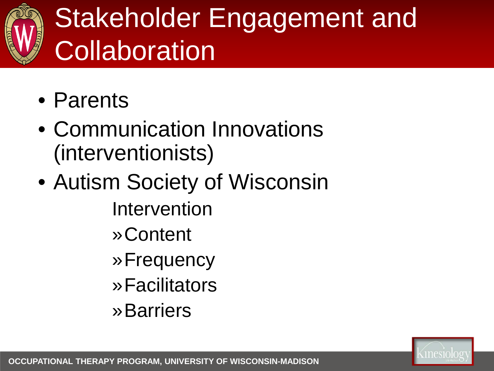

#### Stakeholder Engagement and **Collaboration**

- Parents
- Communication Innovations (interventionists)
- Autism Society of Wisconsin Intervention
	- »Content
	- »Frequency
	- »Facilitators
	- »Barriers

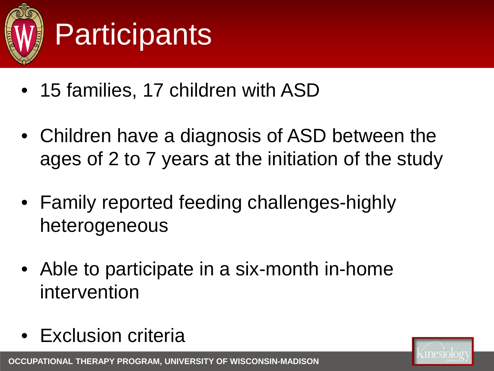

## **Participants**

- 15 families, 17 children with ASD
- Children have a diagnosis of ASD between the ages of 2 to 7 years at the initiation of the study
- Family reported feeding challenges-highly heterogeneous
- Able to participate in a six-month in-home intervention
- Exclusion criteria

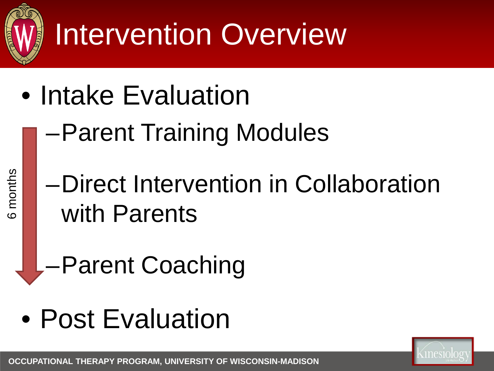

months 6 months

# Intervention Overview

- Intake Evaluation
	- –Parent Training Modules
	- –Direct Intervention in Collaboration with Parents
	- –Parent Coaching
- Post Evaluation

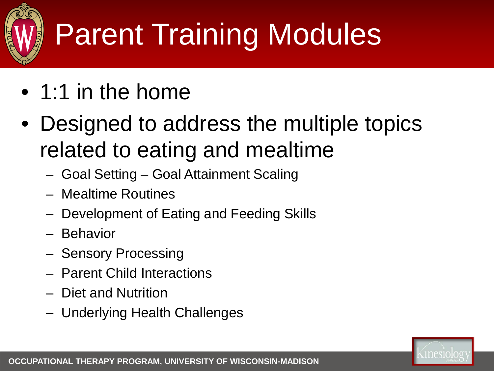

# Parent Training Modules

- 1:1 in the home
- Designed to address the multiple topics related to eating and mealtime
	- Goal Setting Goal Attainment Scaling
	- Mealtime Routines
	- Development of Eating and Feeding Skills
	- Behavior
	- Sensory Processing
	- Parent Child Interactions
	- Diet and Nutrition
	- Underlying Health Challenges

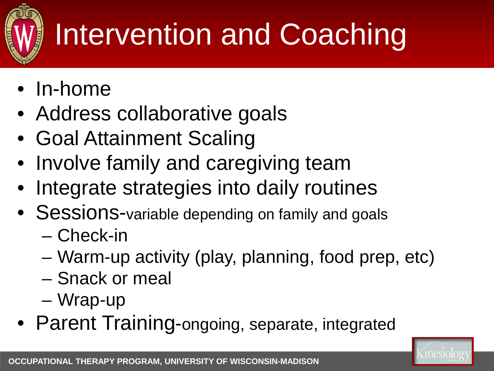

# Intervention and Coaching

- In-home
- Address collaborative goals
- Goal Attainment Scaling
- Involve family and caregiving team
- Integrate strategies into daily routines
- Sessions-variable depending on family and goals
	- Check-in
	- Warm-up activity (play, planning, food prep, etc)
	- Snack or meal
	- Wrap-up
- Parent Training-ongoing, separate, integrated

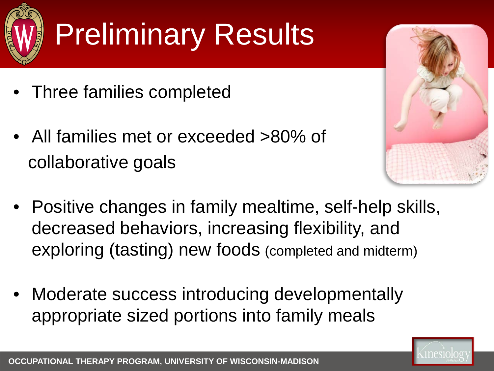

# Preliminary Results

- Three families completed
- All families met or exceeded >80% of collaborative goals



- Positive changes in family mealtime, self-help skills, decreased behaviors, increasing flexibility, and exploring (tasting) new foods (completed and midterm)
- Moderate success introducing developmentally appropriate sized portions into family meals

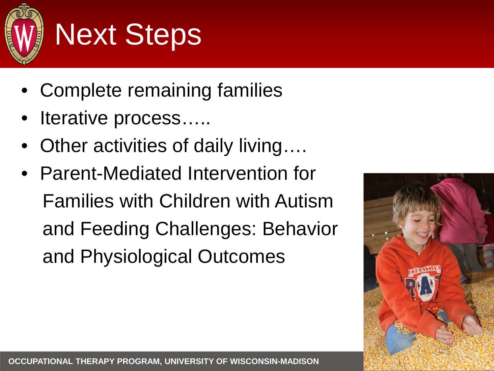

## Next Steps

- Complete remaining families
- Iterative process.....
- Other activities of daily living....
- Parent-Mediated Intervention for Families with Children with Autism and Feeding Challenges: Behavior and Physiological Outcomes

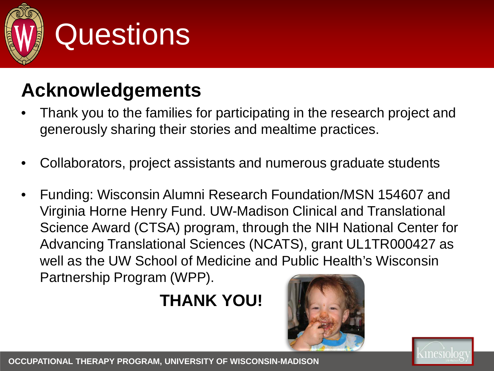

#### **Questions**

#### **Acknowledgements**

- Thank you to the families for participating in the research project and generously sharing their stories and mealtime practices.
- Collaborators, project assistants and numerous graduate students
- Funding: Wisconsin Alumni Research Foundation/MSN 154607 and Virginia Horne Henry Fund. UW-Madison Clinical and Translational Science Award (CTSA) program, through the NIH National Center for Advancing Translational Sciences (NCATS), grant UL1TR000427 as well as the UW School of Medicine and Public Health's Wisconsin Partnership Program (WPP).

#### **THANK YOU!**